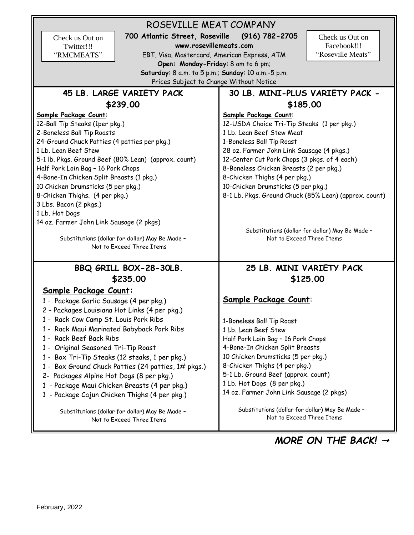ROSEVILLE MEAT COMPANY **700 Atlantic Street, Roseville (916) 782-2705 www.rosevillemeats.com** EBT, Visa, Mastercard, American Express, ATM **Open: Monday-Friday**: 8 am to 6 pm; **Saturday**: 8 a.m. to 5 p.m.; **Sunday**: 10 a.m.-5 p.m. Prices Subject to Change Without Notice **45 LB. LARGE VARIETY PACK \$239.00 Sample Package Count**: 12-Ball Tip Steaks (1per pkg.) 2-Boneless Ball Tip Roasts 24-Ground Chuck Patties (4 patties per pkg.) 1 Lb. Lean Beef Stew 5-1 lb. Pkgs. Ground Beef (80% Lean) (approx. count) Half Pork Loin Bag – 16 Pork Chops 4-Bone-In Chicken Split Breasts (1 pkg.) 10 Chicken Drumsticks (5 per pkg.) 8-Chicken Thighs. (4 per pkg.) 3 Lbs. Bacon (2 pkgs.) 1 Lb. Hot Dogs 14 oz. Farmer John Link Sausage (2 pkgs) Substitutions (dollar for dollar) May Be Made – Not to Exceed Three Items **30 LB. MINI-PLUS VARIETY PACK - \$185.00 Sample Package Count**: 12-USDA Choice Tri-Tip Steaks (1 per pkg.) 1 Lb. Lean Beef Stew Meat 1-Boneless Ball Tip Roast 28 oz. Farmer John Link Sausage (4 pkgs.) 12-Center Cut Pork Chops (3 pkgs. of 4 each) 8-Boneless Chicken Breasts (2 per pkg.) 8-Chicken Thighs (4 per pkg.) 10-Chicken Drumsticks (5 per pkg.) 8-1 Lb. Pkgs. Ground Chuck (85% Lean) (approx. count) Substitutions (dollar for dollar) May Be Made – Not to Exceed Three Items **BBQ GRILL BOX-28-30LB. \$235.00 Sample Package Count:** 1 – Package Garlic Sausage (4 per pkg.) 2 – Packages Louisiana Hot Links (4 per pkg.) 1 - Rack Cow Camp St. Louis Pork Ribs 1 - Rack Maui Marinated Babyback Pork Ribs 1 - Rack Beef Back Ribs 1 - Original Seasoned Tri-Tip Roast 1 - Box Tri-Tip Steaks (12 steaks, 1 per pkg.) 1 - Box Ground Chuck Patties (24 patties, 1# pkgs.) 2- Packages Alpine Hot Dogs (8 per pkg.) 1 - Package Maui Chicken Breasts (4 per pkg.) 1 - Package Cajun Chicken Thighs (4 per pkg.) Substitutions (dollar for dollar) May Be Made – Not to Exceed Three Items **25 LB. MINI VARIETY PACK \$125.00 Sample Package Count**: 1-Boneless Ball Tip Roast 1 Lb. Lean Beef Stew Half Pork Loin Bag – 16 Pork Chops 4-Bone-In Chicken Split Breasts 10 Chicken Drumsticks (5 per pkg.) 8-Chicken Thighs (4 per pkg.) 5-1 Lb. Ground Beef (approx. count) 1 Lb. Hot Dogs (8 per pkg.) 14 oz. Farmer John Link Sausage (2 pkgs) Substitutions (dollar for dollar) May Be Made – Not to Exceed Three Items *MORE ON THE BACK!*  Check us Out on Twitter!!! "RMCMEATS" Check us Out on Facebook!!! "Roseville Meats"